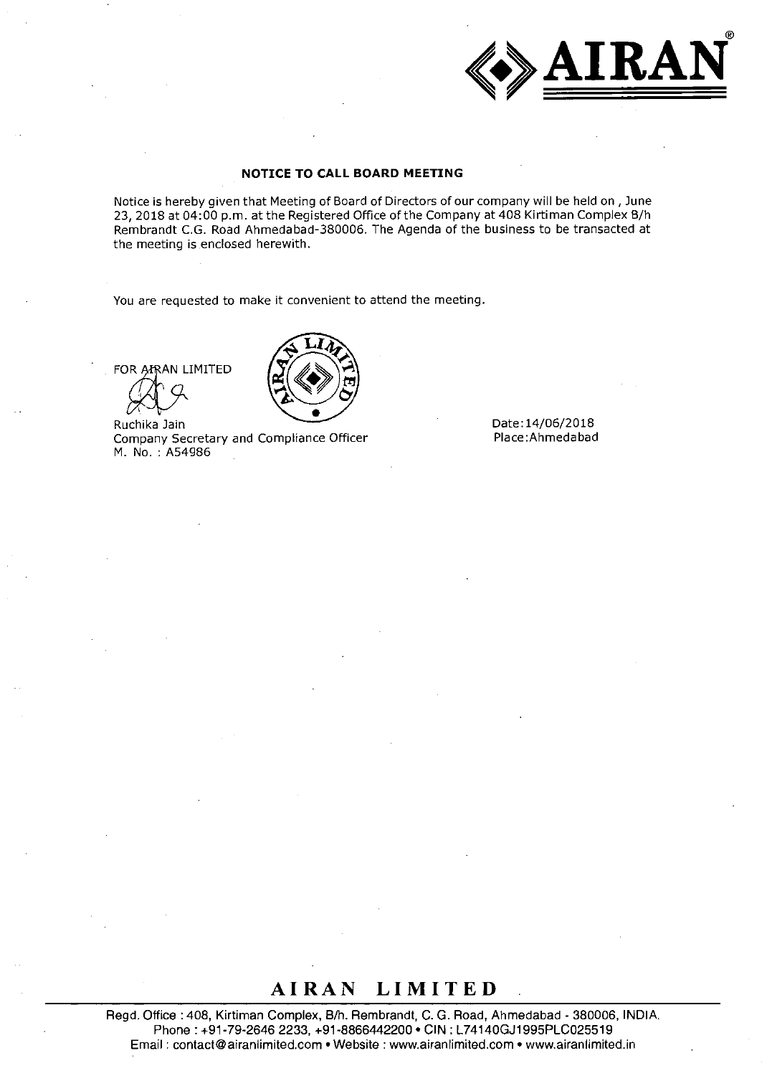

#### **NOTICE TO CALL BOARD MEETING**

Notice is hereby given that Meeting of Board of Directors of our company will be held on, June 23, 2018 at 04:00 p.m. at the Registered Office of the Company at 408 Kirtiman Complex B/h Rembrandt C.G. Road Ahmedabad-380006. The Agenda of the business to be transacted at the meeting is enclosed herewith.

You are requested to make it convenient to attend the meeting.

FOR AIRAN LIMITED



Ruchika Jain Date:14/06/2018<br>Company Secretary and Compliance Officer Place:Ahmedabad Company Secretary and Compliance Officer M. No. : A54986

### **AIRAN LIMITED**

Regd. Office :405, Kirtiman Complex, B/h. Rembrandt, C. G. Road, Ahmedabad - 380006, INDIA. Phone: +91-79-2646 2233, +91-8866442200 • CIN: L74140GJ1995PLC025519 Email: contact@airanlimited.com • Website : www.airanlimited.com• www.airanlimited.in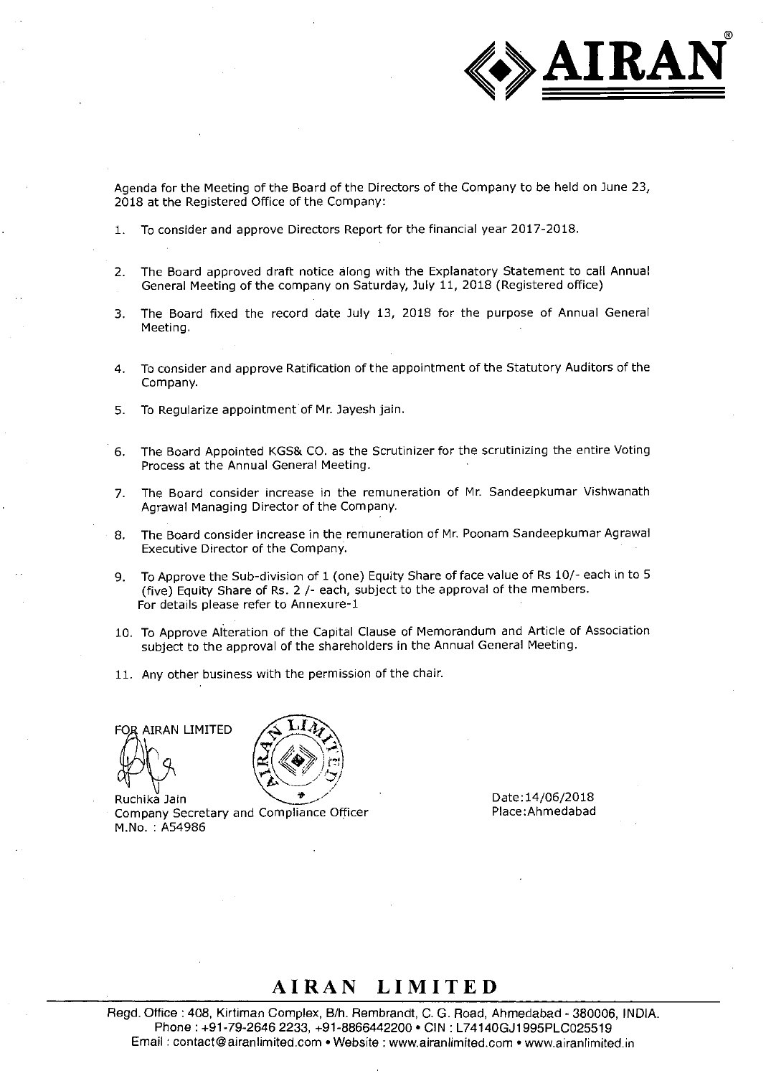

Agenda for the Meeting of the Board of the Directors of the Company to be held on June 23, 2018 at the Registered Office of the Company:

- 1. To consider and approve Directors Report for the financial year 2017-2018.
- 2. The Board approved draft notice along with the Explanatory Statement to call Annual General Meeting of the company on Saturday, July 11, 2018 (Registered office)
- 3. The Board fixed the record date July 13, 2018 for the purpose of Annual General Meeting.
- 4. To consider and approve Ratification of the appointment of the Statutory Auditors of the Company.
- 5. To Regularize appointment of Mr. Jayesh jam.
- 6. The Board Appointed KGS& CO. as the Scrutinizer for the scrutinizing the entire Voting Process at the Annual General Meeting.
- 7. The Board consider increase in the remuneration of Mr. Sandeepkumar Vishwanath Agrawal Managing Director of the Company.
- 8. The Board consider increase in the remuneration of Mr. Poonam Sandeepkumar Agrawal Executive Director of the Company.
- 9. To Approve the Sub-division of 1 (one) Equity Share of face value of Rs 10/- each in to 5 (five) Equity Share of Rs. 2 /- each, subject to the approval of the members. For details please refer to Annexure-1
- 10. To Approve Alteration of the Capital Clause of Memorandum and Article of Association subject to the approval of the shareholders in the Annual General Meeting.
- 11. Any other business with the permission of the chair.

FOR AIRAN LIMITED



Ruchika Jain Company Secretary and Compliance Officer M.No. : A54986

Date:14/06/2018 Place :Ahmedabad

### AIRAN LIMITED

Regd. Office : 408, Kirtiman Complex, B/h. Rembrandt, C. G. Road, Ahmedabad - 380006, INDIA. Phone: +91-79-2646 2233, +91-8866442200 • CIN : L74140GJ1995PLCO25519 Email : contact@airanlimited.com • Website : www.airanlimited.com • www.airanlimited.in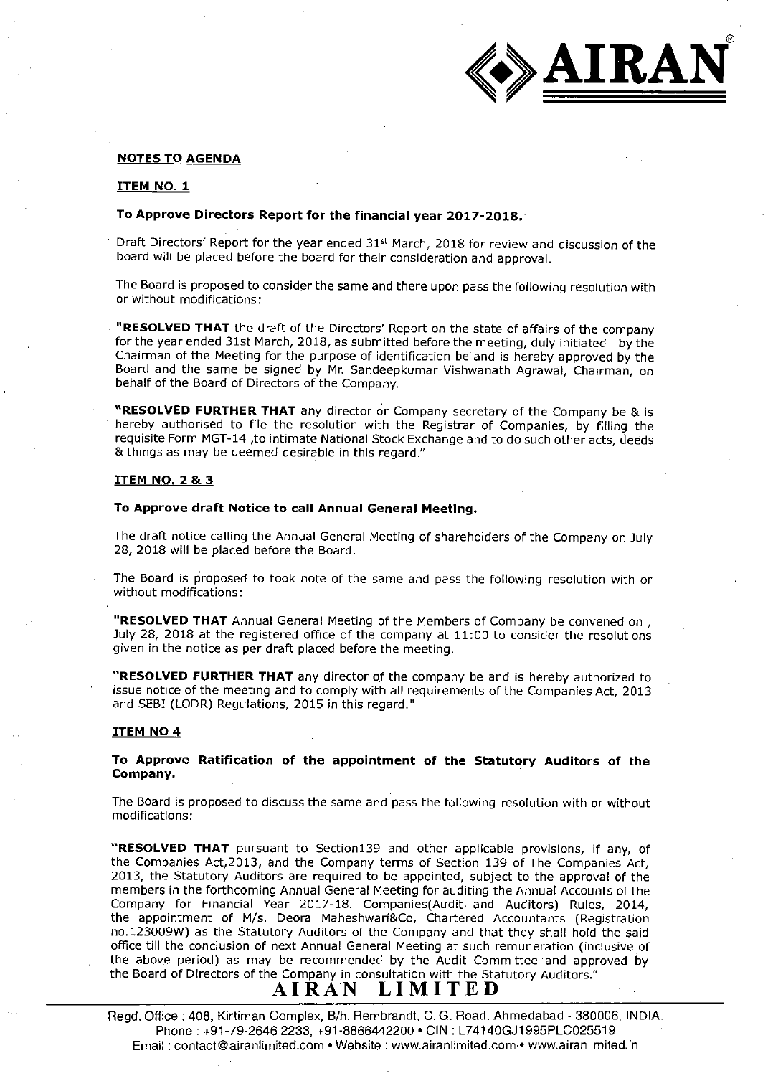

#### **NOTES TO AGENDA**

#### **ITEM NO. 1**

#### **To Approve Directors Report for the financial year 2017-2018.•**

Draft Directors' Report for the year ended 31<sup>st</sup> March, 2018 for review and discussion of the board will be placed before the board for their consideration and approval.

The Board is proposed to consider the same and there upon pass the following resolution with or without modifications:

**• "RESOLVED THAT** the draft of the Directors' Report on the state of affairs of the company for the year ended 31st March, 2018, as submitted before the meeting, duly initiated by the Chairman of the Meeting for the purpose of identification be and is hereby approved by the Board and the same be signed by Mr. Sandeepkumar Vishwanath Agrawal, Chairman, on behalf of the Board of Directors of the Company.

**"RESOLVED FURTHER THAT** any director or Company secretary of the Company be & is hereby authorised to file the resolution with the Registrar of Companies, by filling the requisite Form MGT-14 ,to intimate National Stock Exchange and to do such other acts, deeds & things as may be deemed desirable in this regard."

#### **ITEM NO. 2 & 3**

#### **To Approve draft Notice to call Annual General Meeting.**

The draft notice calling the Annual General Meeting of shareholders of the Company on July 28, 2018 will be placed before the Board.

The Board is proposed to took note of the same and pass the following resolution with or without modifications:

**"RESOLVED THAT** Annual General Meeting of the Members of Company be convened on , July 28, 2018 at the registered office of the company at 11:00 to consider the resolutions given in the notice as per draft placed before the meeting.

**"RESOLVED FURTHER THAT** any director of the company be and is hereby authorized to issue notice of the meeting and to comply with all requirements of the Companies Act, 2013 and SEBI (LODR) Regulations, 2015 in this regard."

#### **ITEM NO 4**

**To Approve Ratification of the appointment of the Statutory Auditors of the Company.** 

The Board is proposed to discuss the same and pass the following resolution with or without modifications:

**"RESOLVED THAT** pursuant to Section139 and other applicable provisions, if any, of the Companies Act,2013, and the Company terms of Section 139 of The Companies Act, 2013, the Statutory Auditors are required to be appointed, subject to the approval of the members in the forthcoming Annual General Meeting for auditing the Annual Accounts of the Company for Financial Year 2017-18. Companies(Audit. and Auditors) Rules, 2014, the appointment of M/s. Deora Maheshwari&Co, Chartered Accountants (Registration no.123009W) as the Statutory Auditors of the Company and that they shall hold the said office till the conclusion of next Annual General Meeting at such remuneration (inclusive of the above period) as may be recommended by the Audit Committee and approved by the Board of Directors of the Company in consultation with the Statutory Auditors."<br> $\mathbf{A} \mathbf{I} \mathbf{R} \mathbf{A} \mathbf{N} \quad \mathbf{L} \mathbf{I} \mathbf{M} \mathbf{I} \mathbf{T} \mathbf{E} \mathbf{D}$ 

Regd. Office :408, Kirtiman Complex, B/h. Rembrandt, C. G. Road, Ahmedabad - 380006, INDIA. Phone: +91-79-2646 2233, +91-8866442200 • CIN : L741400J1995PLCO25519 Email : contact@airanlimited.com • Website : www.airanlimited.com.• www.airanlimited.in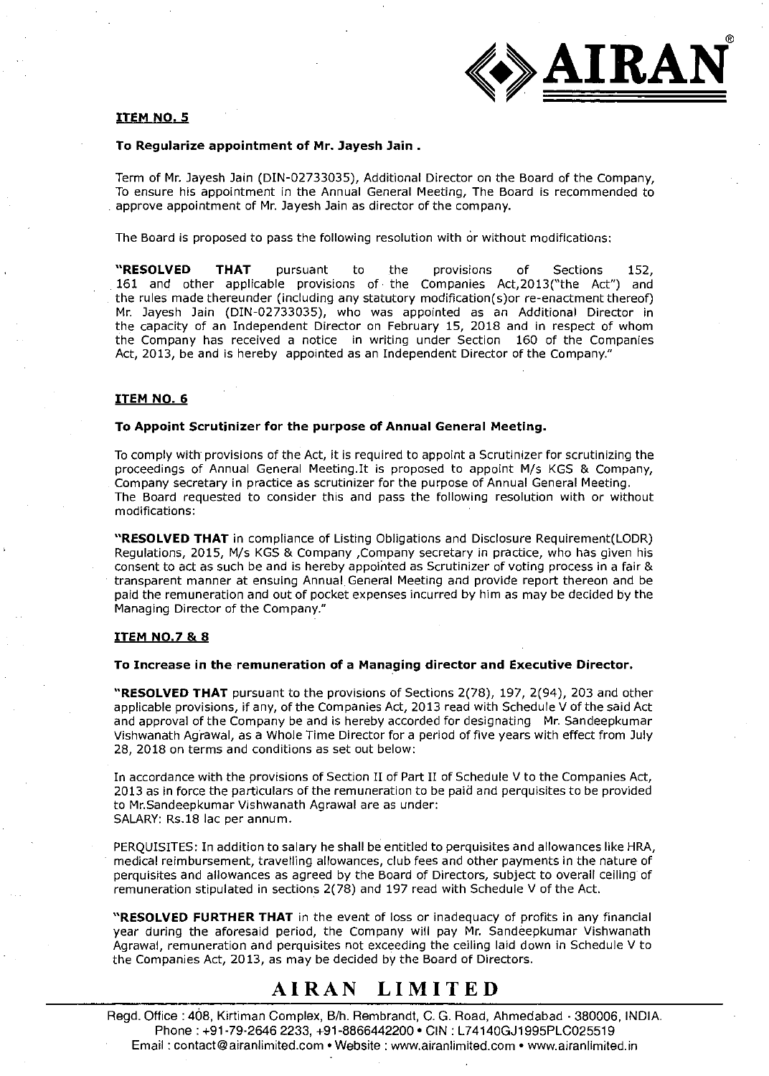

#### **ITEM NO. 5**

#### **To Regularize appointment of Mr. Jayesh Jain .**

Term of Mr. Jayesh Jain (DIN-02733035), Additional Director on the Board of the Company, To ensure his appointment in the Annual General Meeting, The Board is recommended to approve appointment of Mr. Jayesh Jain as director of the company.

The Board is proposed to pass the following resolution with or without modifications:

**"RESOLVED THAT** pursuant to the provisions of Sections 152, 161 and other applicable provisions of the Companies Act,2013("the Act") and the rules made thereunder (including any statutory modification(s)or re-enactment thereof) Mr. Jayesh Jain (DIN-02733035), who was appointed as an Additional Director in the capacity of an Independent Director on February 15, 2018 and in respect of whom the Company has received a notice in writing under Section 160 of the Companies Act, 2013, be and is hereby appointed as an Independent Director of the Company."

#### **ITEM NO. 6**

#### **To Appoint Scrutinizer for the purpose of Annual General Meeting.**

To comply with provisions of the Act, it is required to appoint a Scrutinizer for scrutinizing the proceedings of Annual General Meeting.It is proposed to appoint M/s KGS & Company, Company secretary in practice as scrutinizer for the purpose of Annual General Meeting. The Board requested to consider this and pass the following resolution with or without modifications:

**"RESOLVED THAT** in compliance of Listing Obligations and Disclosure Requirement(LODR) Regulations, 2015, M/s KGS & Company ,Company secretary in practice, who has given his consent to act as such be and is hereby appoirited as Scrutinizer of voting process in a fair & transparent manner at ensuing Annual General Meeting and provide report thereon and be paid the remuneration and out of pocket expenses incurred by him as may be decided by the Managing Director of the Company."

#### **ITEM NO.7 & 8**

#### **To Increase in the remuneration of a Managing director and Executive Director.**

**"RESOLVED THAT** pursuant to the provisions of Sections 2(78), 197, 2(94), 203 and other applicable provisions, if any, of the Companies Act, 2013 read with Schedule V of the said Act and approval of the Company be and is hereby accorded for designating Mr. Sandeepkumar Vishwanath Agrawal, as a Whole Time Director for a period of five years with effect from July 28, 2018 on terms and conditions as set out below:

In accordance with the provisions of Section II of Part II of Schedule V to the Companies Act, 2013 as in force the particulars of the remuneration to be paid and perquisites to be provided to MrSandeepkumar Vishwanath Agrawal are as under: SALARY: Rs.18 lac per annum.

PERQUISITES: In addition to salary he shall be entitled to perquisites and allowances like HRA, medical reimbursement, travelling allowances, club fees and other payments in the nature of perquisites and allowances as agreed by the Board of Directors, subject to overall ceiling of remuneration stipulated in sections 2(78) and 197 read with Schedule V of the Act.

**"RESOLVED FURTHER THAT** in the event of loss or inadequacy of profits in any financial year during the aforesaid period, the Company will pay Mr. Sandeepkumar Vishwanath Agrawal, remuneration and perquisites not exceeding the ceiling laid down in Schedule V to the Companies Act, 2013, as may be decided by the Board of Directors.

### AIRAN LIMITED

Regd. Office : 468, Kirtiman Complex, B/h. Rembrandt, C. G. Road, Ahmedabad - 380006, INDIA. Phone : +91-79-2646 2233, +91-8866442200 • CIN : L74140GJ1995PLCO25519 Email : contact@airanlimited.com • Website : www.airanlimited.com • www.airanlimited.in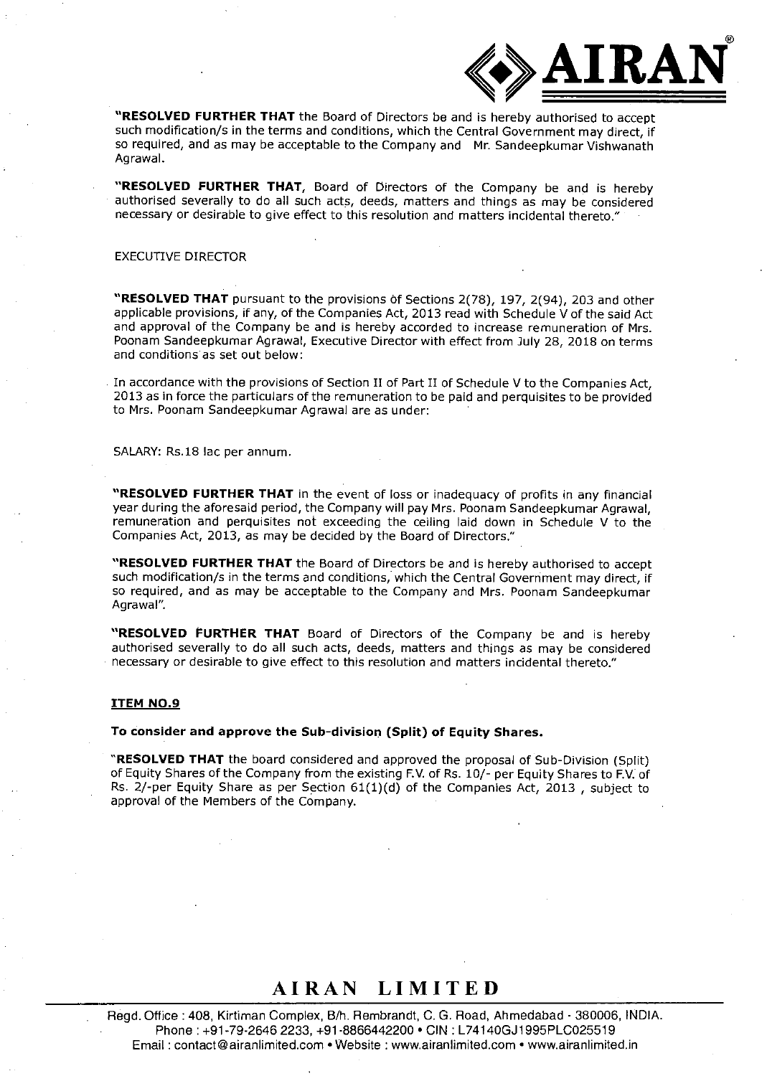

**"RESOLVED FURTHER THAT** the Board of Directors be and is hereby authorised to accept such modification/s in the terms and conditions, which the Central Government may direct, if so required, and as may be acceptable to the Company and Mr. Sandeepkumar Vishwanath Agrawal.

**"RESOLVED FURTHER THAT,** Board of Directors of the Company be and is hereby authorised severally to do all such acts, deeds, matters and things as may be considered necessary or desirable to give effect to this resolution and matters incidental thereto."

### EXECUTIVE DIRECTOR

"RESOLVED THAT pursuant to the provisions of Sections 2(78), 197, 2(94), 203 and other applicable provisions, if any, of the Companies Act, 2013 read with Schedule V of the said Act and approval of the Company be and is hereby accorded to increase remuneration of Mrs. Poonam Sandeepkumar Agrawal, Executive Director with effect from July 28, 2018 on terms and conditions'as set out below:

In accordance with the provisions of Section II of Part II of Schedule V to the Companies Act, 2013 as in force the particulars of the remuneration to be paid and perquisites to be provided to Mrs. Poonam Sandeepkumar Agrawal are as under:

SALARY: Rs.18 lac per annum.

**"RESOLVED FURTHER THAT** in the event of loss or inadequacy of profits in any financial year during the aforesaid period, the Company will pay Mrs. Poonam Sandeepkumar Agrawal, remuneration and perquisites not exceeding the ceiling laid down in Schedule V to the Companies Act, 2013, as may be decided by the Board of Directors."

**"RESOLVED FURTHER THAT** the Board of Directors be and is hereby authorised to accept such modiflcation/s in the terms and conditions, which the Central Government may direct, if so required, and as may be acceptable to the Company and Mrs. Poonam Sandeepkumar Agrawal".

**"RESOLVED FURTHER THAT** Board of Directors of the Company be and is hereby authorised severally to do all such acts, deeds, matters and things as may be considered necessary or desirable to give effect to this resolution and matters incidental thereto."

#### **ITEM NO.9**

**To consider and approve the Sub-division (Split) of Equity Shares.** 

**"RESOLVED THAT** the board considered and approved the proposal of Sub-Division (Split) of Equity Shares of the Company from the existing F.V. of Rs. 10/- per Equity Shares to F.V. of Rs. 2/-per Equity Share as per Section 61(1)(d) of the Companies Act, 2013 , subject to approval of the Members of the Company.

### AIRAN LIMITED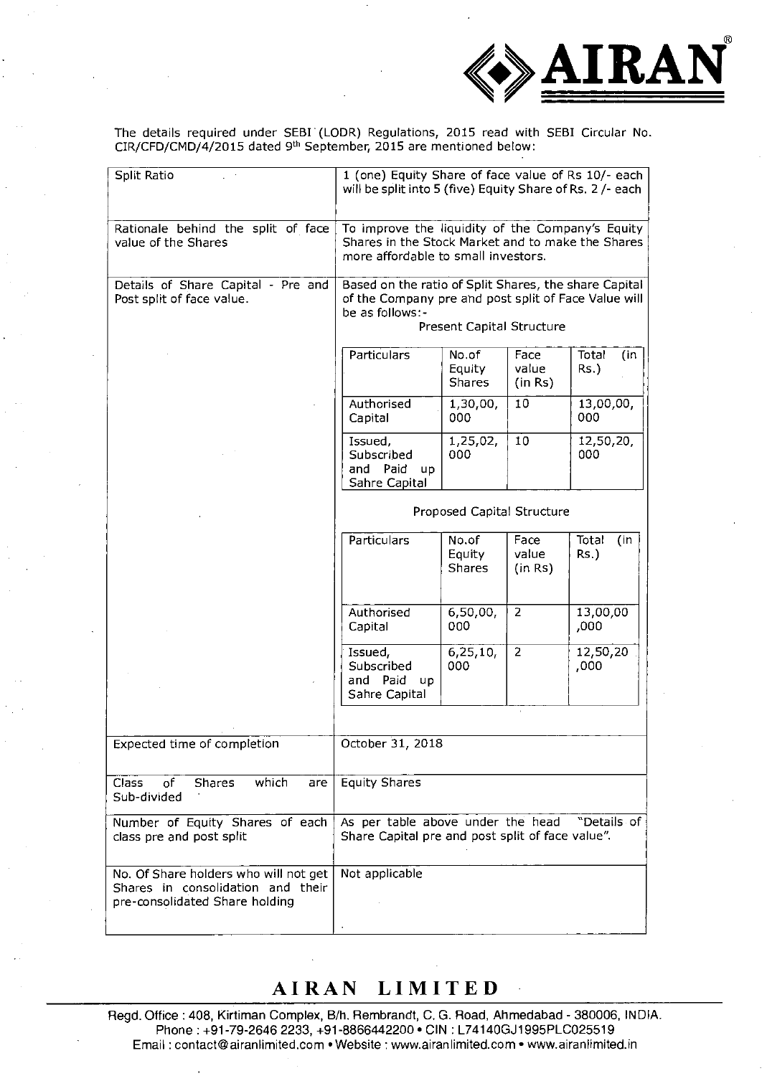

The details required under SEBL (LODR) Regulations, 2015 read with SEBI Circular No.  $CIR/CFD/CMD/4/2015$  dated 9<sup>th</sup> September, 2015 are mentioned below:

| Split Ratio                                                                                                  | 1 (one) Equity Share of face value of Rs 10/- each<br>will be split into 5 (five) Equity Share of Rs. 2 /- each                                               |                                  |                          |                         |
|--------------------------------------------------------------------------------------------------------------|---------------------------------------------------------------------------------------------------------------------------------------------------------------|----------------------------------|--------------------------|-------------------------|
| Rationale behind the split of face<br>value of the Shares                                                    | To improve the liquidity of the Company's Equity<br>Shares in the Stock Market and to make the Shares<br>more affordable to small investors.                  |                                  |                          |                         |
| Details of Share Capital - Pre and<br>Post split of face value.                                              | Based on the ratio of Split Shares, the share Capital<br>of the Company pre and post split of Face Value will<br>be as follows:-<br>Present Capital Structure |                                  |                          |                         |
|                                                                                                              | Particulars                                                                                                                                                   | No.of<br>Equity<br><b>Shares</b> | Face<br>value<br>(in Rs) | Total<br>(in<br>$Rs.$ ) |
|                                                                                                              | Authorised<br>Capital                                                                                                                                         | 1,30,00,<br>000                  | 10                       | 13,00,00,<br>000        |
|                                                                                                              | Issued,<br>Subscribed<br>and Paid<br><b>up</b><br>Sahre Capital                                                                                               | 1,25,02,<br>000                  | 10                       | 12,50,20,<br>000        |
|                                                                                                              | Proposed Capital Structure                                                                                                                                    |                                  |                          |                         |
|                                                                                                              | Particulars                                                                                                                                                   | No.of<br>Equity<br><b>Shares</b> | Face<br>value<br>(in Rs) | Total<br>(in<br>$Rs.$ ) |
|                                                                                                              | Authorised<br>Capital                                                                                                                                         | 6,50,00,<br>000                  | $\overline{2}$           | 13,00,00<br>,000        |
|                                                                                                              | Issued,<br>Subscribed<br>and Paid<br>up<br>Sahre Capital                                                                                                      | 6, 25, 10,<br>000                | 2                        | 12,50,20<br>,000        |
|                                                                                                              |                                                                                                                                                               |                                  |                          |                         |
| Expected time of completion                                                                                  | October 31, 2018                                                                                                                                              |                                  |                          |                         |
| which<br><b>Class</b><br><b>Shares</b><br>of<br>are<br>Sub-divided                                           | <b>Equity Shares</b>                                                                                                                                          |                                  |                          |                         |
| Number of Equity Shares of each<br>class pre and post split                                                  | As per table above under the head<br>"Details of<br>Share Capital pre and post split of face value".                                                          |                                  |                          |                         |
| No. Of Share holders who will not get<br>Shares in consolidation and their<br>pre-consolidated Share holding | Not applicable                                                                                                                                                |                                  |                          |                         |

# AIRAN LIMITED

Regd. Office : 408, Kirtiman Complex, B/h. Rembrandt, C. G. Road, Ahmedabad - 380006, INDIA. Phone: +91-79-2646 2233, +91-8866442200 • CIN : L74140GJ1995PLCO25519 Email: contact@airanlimited.com • Website : www.airanlimited.com • www.airanlimited.in